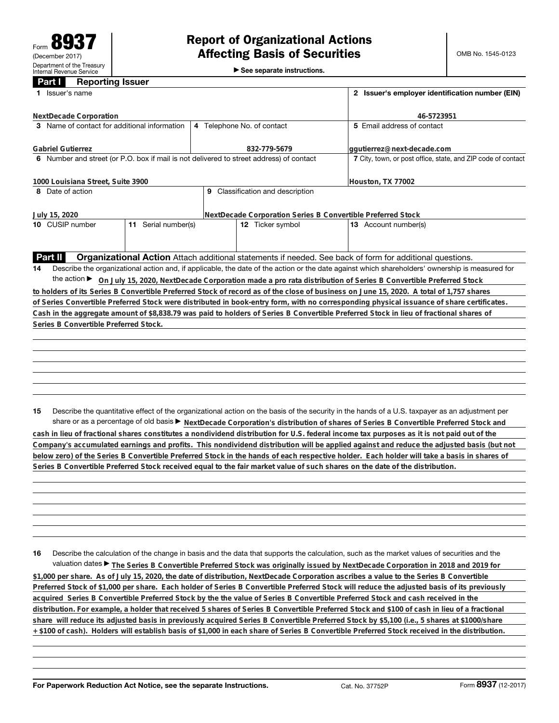►<br>► See separate instructions.

## **Part I Reporting Issuer**

|                                              | 1 Issuer's name                                                                                                                                 |                     | 2 Issuer's employer identification number (EIN)              |                                  |                                                                                                                                                 |  |  |  |  |  |
|----------------------------------------------|-------------------------------------------------------------------------------------------------------------------------------------------------|---------------------|--------------------------------------------------------------|----------------------------------|-------------------------------------------------------------------------------------------------------------------------------------------------|--|--|--|--|--|
|                                              | NextDecade Corporation                                                                                                                          |                     |                                                              |                                  | 46-5723951                                                                                                                                      |  |  |  |  |  |
| 3 Name of contact for additional information |                                                                                                                                                 |                     |                                                              | 4 Telephone No. of contact       | 5 Email address of contact                                                                                                                      |  |  |  |  |  |
|                                              | <b>Gabriel Gutierrez</b>                                                                                                                        |                     |                                                              | 832-779-5679                     | ggutierrez@next-decade.com                                                                                                                      |  |  |  |  |  |
|                                              | 6 Number and street (or P.O. box if mail is not delivered to street address) of contact                                                         |                     | 7 City, town, or post office, state, and ZIP code of contact |                                  |                                                                                                                                                 |  |  |  |  |  |
|                                              | 1000 Louisiana Street, Suite 3900                                                                                                               |                     |                                                              |                                  | Houston, TX 77002                                                                                                                               |  |  |  |  |  |
|                                              | 8 Date of action                                                                                                                                |                     |                                                              | 9 Classification and description |                                                                                                                                                 |  |  |  |  |  |
|                                              | July 15, 2020                                                                                                                                   |                     |                                                              |                                  | NextDecade Corporation Series B Convertible Preferred Stock                                                                                     |  |  |  |  |  |
|                                              | 10 CUSIP number                                                                                                                                 | 11 Serial number(s) |                                                              | 12 Ticker symbol                 | 13 Account number(s)                                                                                                                            |  |  |  |  |  |
|                                              |                                                                                                                                                 |                     |                                                              |                                  |                                                                                                                                                 |  |  |  |  |  |
| <b>Part II</b>                               |                                                                                                                                                 |                     |                                                              |                                  | Organizational Action Attach additional statements if needed. See back of form for additional questions.                                        |  |  |  |  |  |
| 14                                           | Describe the organizational action and, if applicable, the date of the action or the date against which shareholders' ownership is measured for |                     |                                                              |                                  |                                                                                                                                                 |  |  |  |  |  |
|                                              |                                                                                                                                                 |                     |                                                              |                                  | the action ► On July 15, 2020, NextDecade Corporation made a pro rata distribution of Series B Convertible Preferred Stock                      |  |  |  |  |  |
|                                              |                                                                                                                                                 |                     |                                                              |                                  | to holders of its Series B Convertible Preferred Stock of record as of the close of business on June 15, 2020. A total of 1,757 shares          |  |  |  |  |  |
|                                              |                                                                                                                                                 |                     |                                                              |                                  | of Series Convertible Preferred Stock were distributed in book-entry form, with no corresponding physical issuance of share certificates.       |  |  |  |  |  |
|                                              |                                                                                                                                                 |                     |                                                              |                                  | Cash in the aggregate amount of \$8,838.79 was paid to holders of Series B Convertible Preferred Stock in lieu of fractional shares of          |  |  |  |  |  |
|                                              | Series B Convertible Preferred Stock.                                                                                                           |                     |                                                              |                                  |                                                                                                                                                 |  |  |  |  |  |
|                                              |                                                                                                                                                 |                     |                                                              |                                  |                                                                                                                                                 |  |  |  |  |  |
|                                              |                                                                                                                                                 |                     |                                                              |                                  |                                                                                                                                                 |  |  |  |  |  |
|                                              |                                                                                                                                                 |                     |                                                              |                                  |                                                                                                                                                 |  |  |  |  |  |
|                                              |                                                                                                                                                 |                     |                                                              |                                  |                                                                                                                                                 |  |  |  |  |  |
|                                              |                                                                                                                                                 |                     |                                                              |                                  |                                                                                                                                                 |  |  |  |  |  |
| 15                                           |                                                                                                                                                 |                     |                                                              |                                  | Describe the quantitative effect of the organizational action on the basis of the security in the hands of a U.S. taxpayer as an adjustment per |  |  |  |  |  |
|                                              |                                                                                                                                                 |                     |                                                              |                                  | share or as a percentage of old basis > NextDecade Corporation's distribution of shares of Series B Convertible Preferred Stock and             |  |  |  |  |  |
|                                              |                                                                                                                                                 |                     |                                                              |                                  | cash in lieu of fractional shares constitutes a nondividend distribution for U.S. federal income tax purposes as it is not paid out of the      |  |  |  |  |  |

**Company's accumulated earnings and profits. This nondividend distribution will be applied against and reduce the adjusted basis (but not below zero) of the Series B Convertible Preferred Stock in the hands of each respective holder. Each holder will take a basis in shares of Series B Convertible Preferred Stock received equal to the fair market value of such shares on the date of the distribution.**

**16** Describe the calculation of the change in basis and the data that supports the calculation, such as the market values of securities and the valuation dates ▶ The Series B Convertible Preferred Stock was originally issued by NextDecade Corporation in 2018 and 2019 for **\$1,000 per share. As of July 15, 2020, the date of distribution, NextDecade Corporation ascribes a value to the Series B Convertible Preferred Stock of \$1,000 per share. Each holder of Series B Convertible Preferred Stock will reduce the adjusted basis of its previously acquired Series B Convertible Preferred Stock by the the value of Series B Convertible Preferred Stock and cash received in the distribution. For example, a holder that received 5 shares of Series B Convertible Preferred Stock and \$100 of cash in lieu of a fractional share will reduce its adjusted basis in previously acquired Series B Convertible Preferred Stock by \$5,100 (i.e., 5 shares at \$1000/share + \$100 of cash). Holders will establish basis of \$1,000 in each share of Series B Convertible Preferred Stock received in the distribution.**